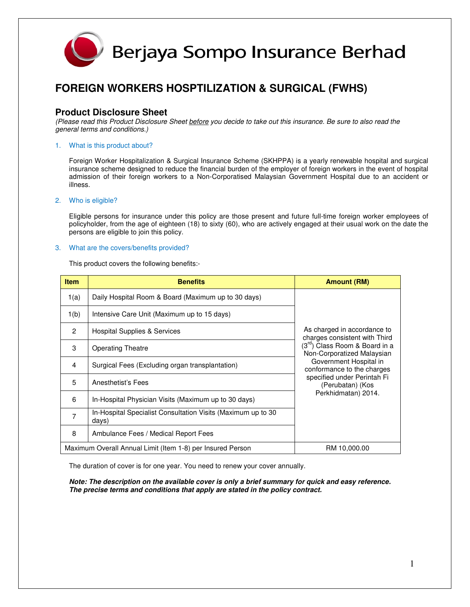

### **FOREIGN WORKERS HOSPTILIZATION & SURGICAL (FWHS)**

### **Product Disclosure Sheet**

(Please read this Product Disclosure Sheet before you decide to take out this insurance. Be sure to also read the general terms and conditions.)

#### 1. What is this product about?

Foreign Worker Hospitalization & Surgical Insurance Scheme (SKHPPA) is a yearly renewable hospital and surgical insurance scheme designed to reduce the financial burden of the employer of foreign workers in the event of hospital admission of their foreign workers to a Non-Corporatised Malaysian Government Hospital due to an accident or illness.

#### 2. Who is eligible?

Eligible persons for insurance under this policy are those present and future full-time foreign worker employees of policyholder, from the age of eighteen (18) to sixty (60), who are actively engaged at their usual work on the date the persons are eligible to join this policy.

#### 3. What are the covers/benefits provided?

This product covers the following benefits:-

| <b>Item</b>                                                | <b>Benefits</b>                                                       | <b>Amount (RM)</b>                                                                                                               |
|------------------------------------------------------------|-----------------------------------------------------------------------|----------------------------------------------------------------------------------------------------------------------------------|
| 1(a)                                                       | Daily Hospital Room & Board (Maximum up to 30 days)                   |                                                                                                                                  |
| 1(b)                                                       | Intensive Care Unit (Maximum up to 15 days)                           |                                                                                                                                  |
| $\mathcal{P}$                                              | Hospital Supplies & Services                                          | As charged in accordance to<br>charges consistent with Third                                                                     |
| 3                                                          | <b>Operating Theatre</b>                                              | (3 <sup>rd</sup> ) Class Room & Board in a<br>Non-Corporatized Malaysian<br>Government Hospital in<br>conformance to the charges |
| 4                                                          | Surgical Fees (Excluding organ transplantation)                       |                                                                                                                                  |
| 5                                                          | Anesthetist's Fees                                                    | specified under Perintah Fi<br>(Perubatan) (Kos                                                                                  |
| 6                                                          | In-Hospital Physician Visits (Maximum up to 30 days)                  | Perkhidmatan) 2014.                                                                                                              |
| 7                                                          | In-Hospital Specialist Consultation Visits (Maximum up to 30<br>days) |                                                                                                                                  |
| 8                                                          | Ambulance Fees / Medical Report Fees                                  |                                                                                                                                  |
| Maximum Overall Annual Limit (Item 1-8) per Insured Person |                                                                       | RM 10,000.00                                                                                                                     |

The duration of cover is for one year. You need to renew your cover annually.

**Note: The description on the available cover is only a brief summary for quick and easy reference. The precise terms and conditions that apply are stated in the policy contract.**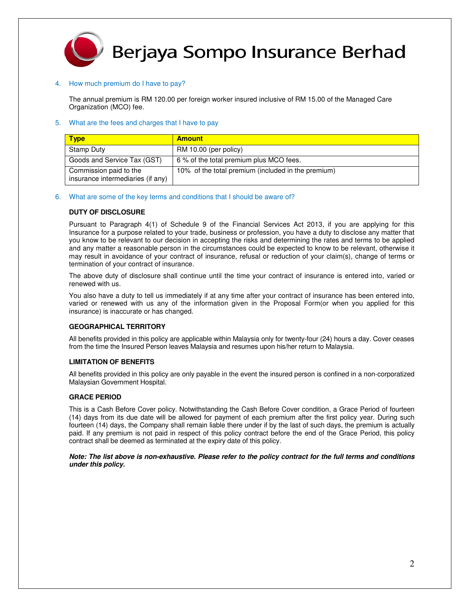

### Berjaya Sompo Insurance Berhad

#### 4. How much premium do I have to pay?

The annual premium is RM 120.00 per foreign worker insured inclusive of RM 15.00 of the Managed Care Organization (MCO) fee.

#### 5. What are the fees and charges that I have to pay

| <b>Type</b>                                                 | <b>Amount</b>                                      |
|-------------------------------------------------------------|----------------------------------------------------|
| Stamp Duty                                                  | RM 10.00 (per policy)                              |
| Goods and Service Tax (GST)                                 | 6% of the total premium plus MCO fees.             |
| Commission paid to the<br>insurance intermediaries (if any) | 10% of the total premium (included in the premium) |

#### 6. What are some of the key terms and conditions that I should be aware of?

#### **DUTY OF DISCLOSURE**

Pursuant to Paragraph 4(1) of Schedule 9 of the Financial Services Act 2013, if you are applying for this Insurance for a purpose related to your trade, business or profession, you have a duty to disclose any matter that you know to be relevant to our decision in accepting the risks and determining the rates and terms to be applied and any matter a reasonable person in the circumstances could be expected to know to be relevant, otherwise it may result in avoidance of your contract of insurance, refusal or reduction of your claim(s), change of terms or termination of your contract of insurance.

The above duty of disclosure shall continue until the time your contract of insurance is entered into, varied or renewed with us.

You also have a duty to tell us immediately if at any time after your contract of insurance has been entered into, varied or renewed with us any of the information given in the Proposal Form(or when you applied for this insurance) is inaccurate or has changed.

#### **GEOGRAPHICAL TERRITORY**

All benefits provided in this policy are applicable within Malaysia only for twenty-four (24) hours a day. Cover ceases from the time the Insured Person leaves Malaysia and resumes upon his/her return to Malaysia.

#### **LIMITATION OF BENEFITS**

All benefits provided in this policy are only payable in the event the insured person is confined in a non-corporatized Malaysian Government Hospital.

#### **GRACE PERIOD**

This is a Cash Before Cover policy. Notwithstanding the Cash Before Cover condition, a Grace Period of fourteen (14) days from its due date will be allowed for payment of each premium after the first policy year. During such fourteen (14) days, the Company shall remain liable there under if by the last of such days, the premium is actually paid. If any premium is not paid in respect of this policy contract before the end of the Grace Period, this policy contract shall be deemed as terminated at the expiry date of this policy.

**Note: The list above is non-exhaustive. Please refer to the policy contract for the full terms and conditions under this policy.**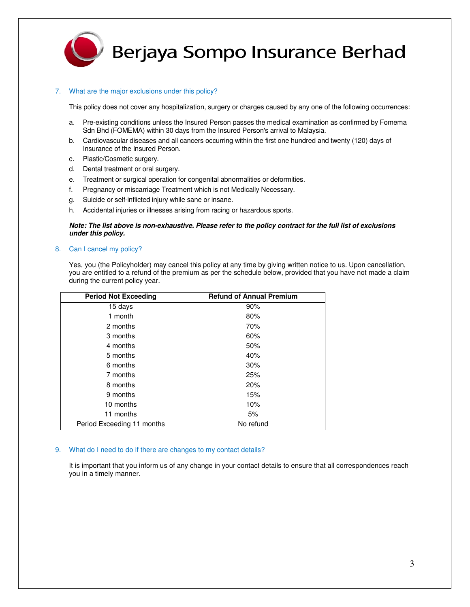

## Berjaya Sompo Insurance Berhad

#### 7. What are the major exclusions under this policy?

This policy does not cover any hospitalization, surgery or charges caused by any one of the following occurrences:

- a. Pre-existing conditions unless the Insured Person passes the medical examination as confirmed by Fomema Sdn Bhd (FOMEMA) within 30 days from the Insured Person's arrival to Malaysia.
- b. Cardiovascular diseases and all cancers occurring within the first one hundred and twenty (120) days of Insurance of the Insured Person.
- c. Plastic/Cosmetic surgery.
- d. Dental treatment or oral surgery.
- e. Treatment or surgical operation for congenital abnormalities or deformities.
- f. Pregnancy or miscarriage Treatment which is not Medically Necessary.
- g. Suicide or self-inflicted injury while sane or insane.
- h. Accidental injuries or illnesses arising from racing or hazardous sports.

#### **Note: The list above is non-exhaustive. Please refer to the policy contract for the full list of exclusions under this policy.**

#### 8. Can I cancel my policy?

Yes, you (the Policyholder) may cancel this policy at any time by giving written notice to us. Upon cancellation, you are entitled to a refund of the premium as per the schedule below, provided that you have not made a claim during the current policy year.

| <b>Period Not Exceeding</b> | <b>Refund of Annual Premium</b> |
|-----------------------------|---------------------------------|
| 15 days                     | 90%                             |
| 1 month                     | 80%                             |
| 2 months                    | 70%                             |
| 3 months                    | 60%                             |
| 4 months                    | 50%                             |
| 5 months                    | 40%                             |
| 6 months                    | 30%                             |
| 7 months                    | 25%                             |
| 8 months                    | 20%                             |
| 9 months                    | 15%                             |
| 10 months                   | 10%                             |
| 11 months                   | 5%                              |
| Period Exceeding 11 months  | No refund                       |

#### 9. What do I need to do if there are changes to my contact details?

It is important that you inform us of any change in your contact details to ensure that all correspondences reach you in a timely manner.